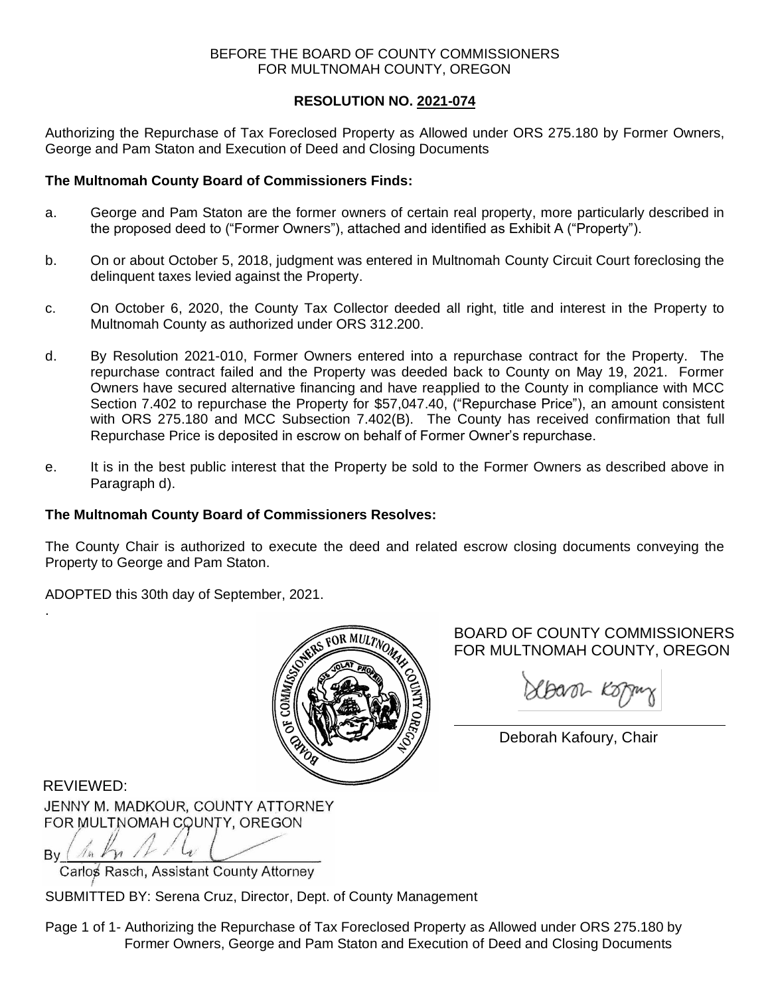## BEFORE THE BOARD OF COUNTY COMMISSIONERS FOR MULTNOMAH COUNTY, OREGON

# **RESOLUTION NO. 2021-074**

Authorizing the Repurchase of Tax Foreclosed Property as Allowed under ORS 275.180 by Former Owners, George and Pam Staton and Execution of Deed and Closing Documents

# **The Multnomah County Board of Commissioners Finds:**

- a. George and Pam Staton are the former owners of certain real property, more particularly described in the proposed deed to ("Former Owners"), attached and identified as Exhibit A ("Property").
- b. On or about October 5, 2018, judgment was entered in Multnomah County Circuit Court foreclosing the delinquent taxes levied against the Property.
- c. On October 6, 2020, the County Tax Collector deeded all right, title and interest in the Property to Multnomah County as authorized under ORS 312.200.
- d. By Resolution 2021-010, Former Owners entered into a repurchase contract for the Property. The repurchase contract failed and the Property was deeded back to County on May 19, 2021. Former Owners have secured alternative financing and have reapplied to the County in compliance with MCC Section 7.402 to repurchase the Property for \$57,047.40, ("Repurchase Price"), an amount consistent with ORS 275.180 and MCC Subsection 7.402(B). The County has received confirmation that full Repurchase Price is deposited in escrow on behalf of Former Owner's repurchase.
- e. It is in the best public interest that the Property be sold to the Former Owners as described above in Paragraph d).

## **The Multnomah County Board of Commissioners Resolves:**

The County Chair is authorized to execute the deed and related escrow closing documents conveying the Property to George and Pam Staton.

ADOPTED this 30th day of September, 2021.



# BOARD OF COUNTY COMMISSIONERS FOR MULTNOMAH COUNTY, OREGON

Sbarr Koping

Deborah Kafoury, Chair

REVIEWED:

.

JENNY M. MADKOUR, COUNTY ATTORNEY FOR MULTNOMAH COUNTY, OREGON

 $An$   $Kn$   $11$ ,  $\mathsf{B}\mathsf{v}$  ( Carlos Rasch, Assistant County Attorney

SUBMITTED BY: Serena Cruz, Director, Dept. of County Management

Page 1 of 1- Authorizing the Repurchase of Tax Foreclosed Property as Allowed under ORS 275.180 by Former Owners, George and Pam Staton and Execution of Deed and Closing Documents